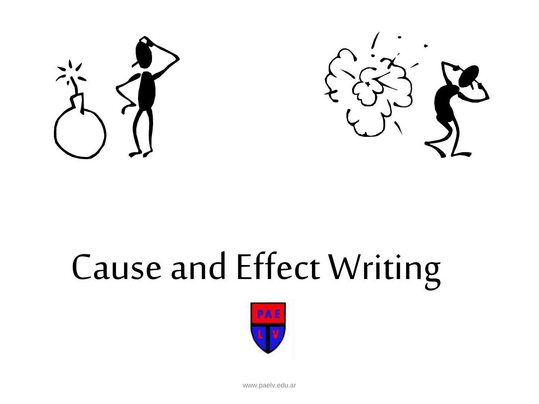



# Cause and Effect Writing



www.paelv.edu.ar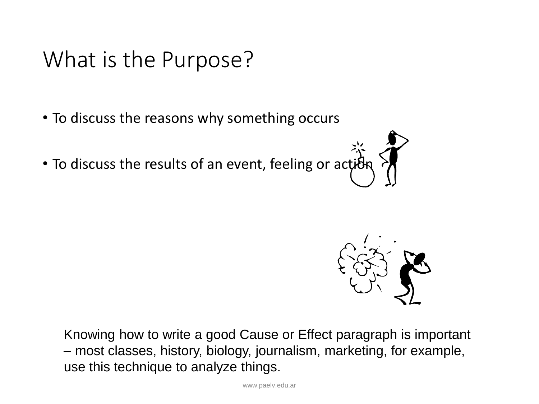#### What is the Purpose?

- To discuss the reasons why something occurs
- To discuss the results of an event, feeling or action



Knowing how to write a good Cause or Effect paragraph is important – most classes, history, biology, journalism, marketing, for example, use this technique to analyze things.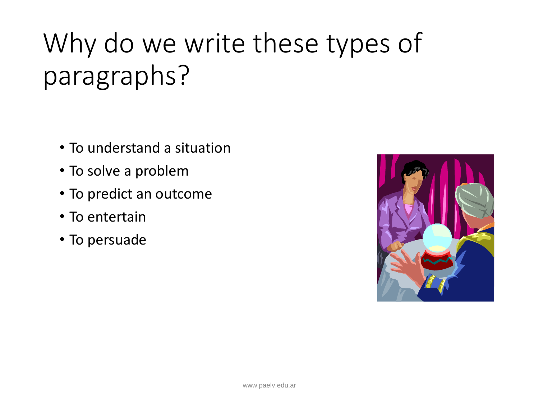## Why do we write these types of paragraphs?

- To understand a situation
- To solve a problem
- To predict an outcome
- To entertain
- To persuade

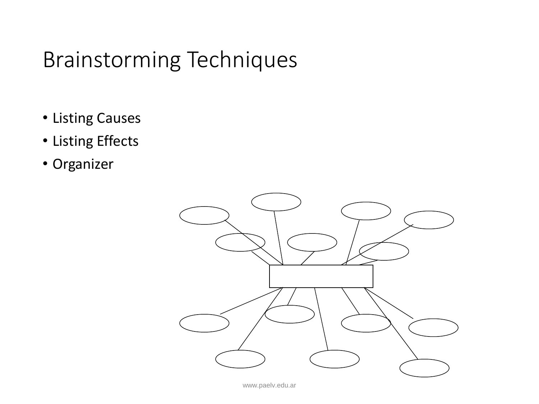#### Brainstorming Techniques

- Listing Causes
- Listing Effects
- Organizer

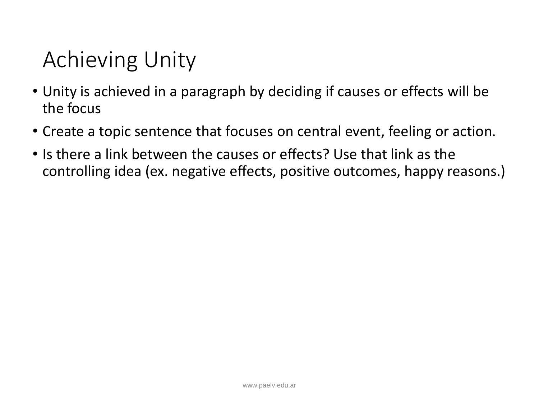## Achieving Unity

- Unity is achieved in a paragraph by deciding if causes or effects will be the focus
- Create a topic sentence that focuses on central event, feeling or action.
- Is there a link between the causes or effects? Use that link as the controlling idea (ex. negative effects, positive outcomes, happy reasons.)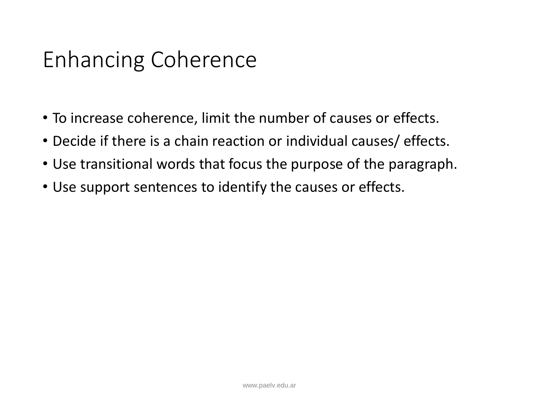### Enhancing Coherence

- To increase coherence, limit the number of causes or effects.
- Decide if there is a chain reaction or individual causes/ effects.
- Use transitional words that focus the purpose of the paragraph.
- Use support sentences to identify the causes or effects.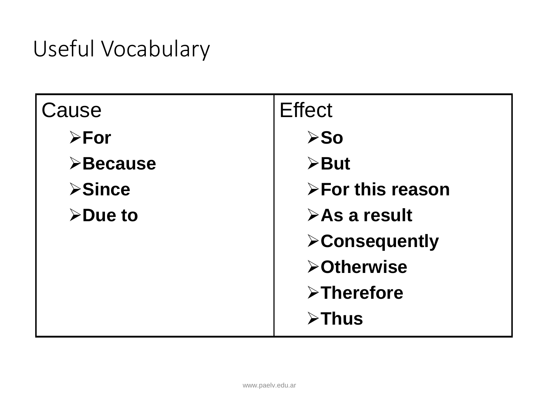## Useful Vocabulary

| Cause                    | <b>Effect</b>                |
|--------------------------|------------------------------|
| $\triangleright$ For     | $\triangleright$ So          |
| $\triangleright$ Because | $\triangleright$ But         |
| $\triangleright$ Since   | >For this reason             |
| $\triangleright$ Due to  | $\triangleright$ As a result |
|                          | <b>&gt;Consequently</b>      |
|                          | <b>&gt;Otherwise</b>         |
|                          | $\triangleright$ Therefore   |
|                          | $\triangleright$ Thus        |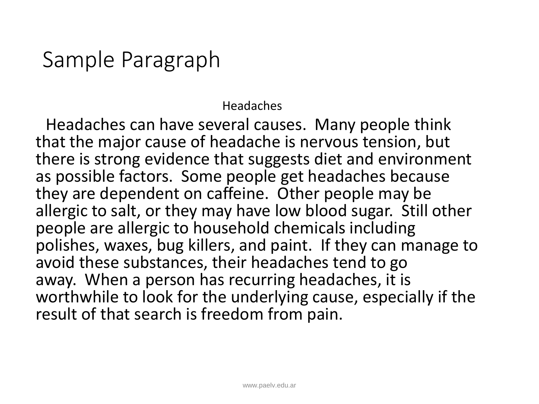#### Sample Paragraph

Headaches

Headaches can have several causes. Many people think that the major cause of headache is nervous tension, but there is strong evidence that suggests diet and environment as possible factors. Some people get headaches because they are dependent on caffeine. Other people may be allergic to salt, or they may have low blood sugar. Still other people are allergic to household chemicals including polishes, waxes, bug killers, and paint. If they can manage to avoid these substances, their headaches tend to go away. When a person has recurring headaches, it is worthwhile to look for the underlying cause, especially if the result of that search is freedom from pain.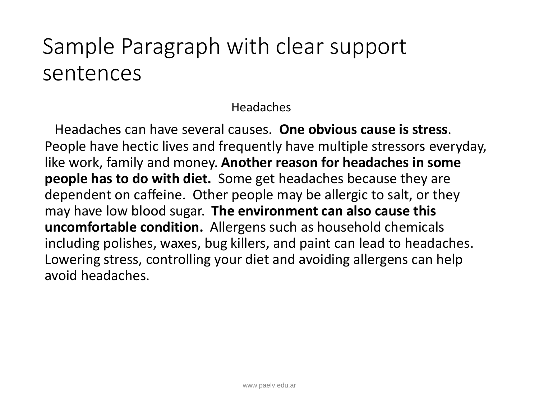### Sample Paragraph with clear support sentences

#### Headaches

Headaches can have several causes. **One obvious cause is stress**. People have hectic lives and frequently have multiple stressors everyday, like work, family and money. **Another reason for headaches in some people has to do with diet.** Some get headaches because they are dependent on caffeine. Other people may be allergic to salt, or they may have low blood sugar. **The environment can also cause this uncomfortable condition.** Allergens such as household chemicals including polishes, waxes, bug killers, and paint can lead to headaches. Lowering stress, controlling your diet and avoiding allergens can help avoid headaches.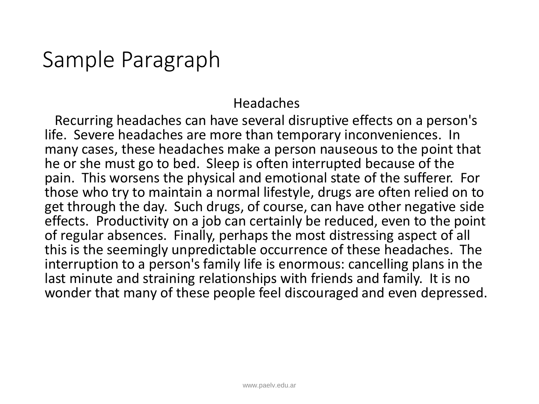#### Sample Paragraph

#### Headaches

Recurring headaches can have several disruptive effects on a person's life. Severe headaches are more than temporary inconveniences. In many cases, these headaches make a person nauseous to the point that he or she must go to bed. Sleep is often interrupted because of the pain. This worsens the physical and emotional state of the sufferer. For those who try to maintain a normal lifestyle, drugs are often relied on to get through the day. Such drugs, of course, can have other negative side effects. Productivity on a job can certainly be reduced, even to the point of regular absences. Finally, perhaps the most distressing aspect of all this is the seemingly unpredictable occurrence of these headaches. The interruption to a person's family life is enormous: cancelling plans in the last minute and straining relationships with friends and family. It is no wonder that many of these people feel discouraged and even depressed.